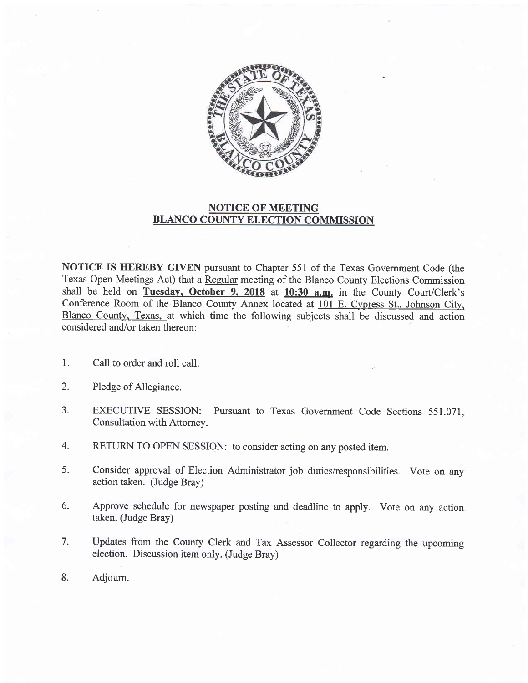

## NOTICE OF MEETING BLANCO COUNTY ELECTION COMMISSION

NOTICE IS HEREBY GIVEN pursuant to Chapter 551 of the Texas Government Code (the Texas Open Meetings Act) that a Regular meeting of the Blanco County Elections Commission shall be held on Tuesday. October 9. 2018 at 10:30 a.m. in the County Court/Clerk's Conference Room of the Blanco County Annex located at 101 E. Cypress St.. Johnson City. Blanco County. Texas. at which time the following subjects shall be discussed and action considered and/or taken thereon:

- 1. Call to order and roll call.
- 2. Pledge of Allegiance.
- a J. EXECUTIVE SESSION: Pursuant to Texas Government Code Sections 551.071. Consultation with Attomey.
- RETURN TO OPEN SESSION: to consider acting on any posted item. 4.
- Consider approval of Election Administrator job duties/responsibilities. Vote on any action taken. (Judge Bray) 5.
- Approve schedule for newspaper posting and deadline to apply. Vote on any action taken. (Judge Bray) 6.
- Updates from the County Clerk and Tax Assessor Collector regarding the upcoming election. Discussion item only. (Judge Bray) 7.
- Adjourn. 8.